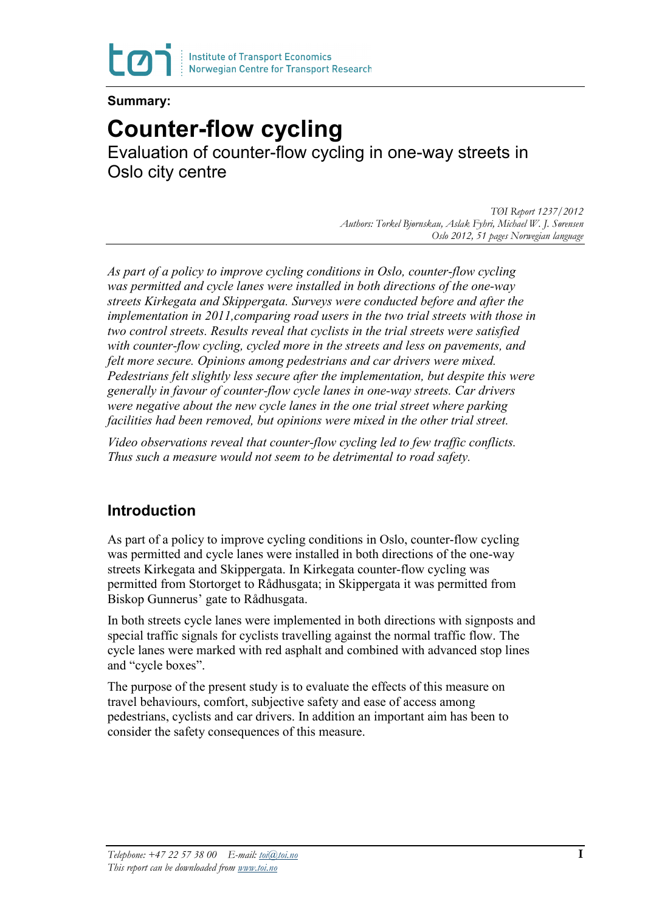

### **Summary:**

# **Counter-flow cycling**

Evaluation of counter-flow cycling in one-way streets in Oslo city centre

> *TØI Report 1237/2012 Authors: Torkel Bjørnskau, Aslak Fyhri, Michael W. J. Sørensen Oslo 2012, 51 pages Norwegian language*

*As part of a policy to improve cycling conditions in Oslo, counter-flow cycling was permitted and cycle lanes were installed in both directions of the one-way streets Kirkegata and Skippergata. Surveys were conducted before and after the implementation in 2011,comparing road users in the two trial streets with those in two control streets. Results reveal that cyclists in the trial streets were satisfied with counter-flow cycling, cycled more in the streets and less on pavements, and felt more secure. Opinions among pedestrians and car drivers were mixed. Pedestrians felt slightly less secure after the implementation, but despite this were generally in favour of counter-flow cycle lanes in one-way streets. Car drivers were negative about the new cycle lanes in the one trial street where parking facilities had been removed, but opinions were mixed in the other trial street.*

*Video observations reveal that counter-flow cycling led to few traffic conflicts. Thus such a measure would not seem to be detrimental to road safety.*

## **Introduction**

As part of a policy to improve cycling conditions in Oslo, counter-flow cycling was permitted and cycle lanes were installed in both directions of the one-way streets Kirkegata and Skippergata. In Kirkegata counter-flow cycling was permitted from Stortorget to Rådhusgata; in Skippergata it was permitted from Biskop Gunnerus' gate to Rådhusgata.

In both streets cycle lanes were implemented in both directions with signposts and special traffic signals for cyclists travelling against the normal traffic flow. The cycle lanes were marked with red asphalt and combined with advanced stop lines and "cycle boxes".

The purpose of the present study is to evaluate the effects of this measure on travel behaviours, comfort, subjective safety and ease of access among pedestrians, cyclists and car drivers. In addition an important aim has been to consider the safety consequences of this measure.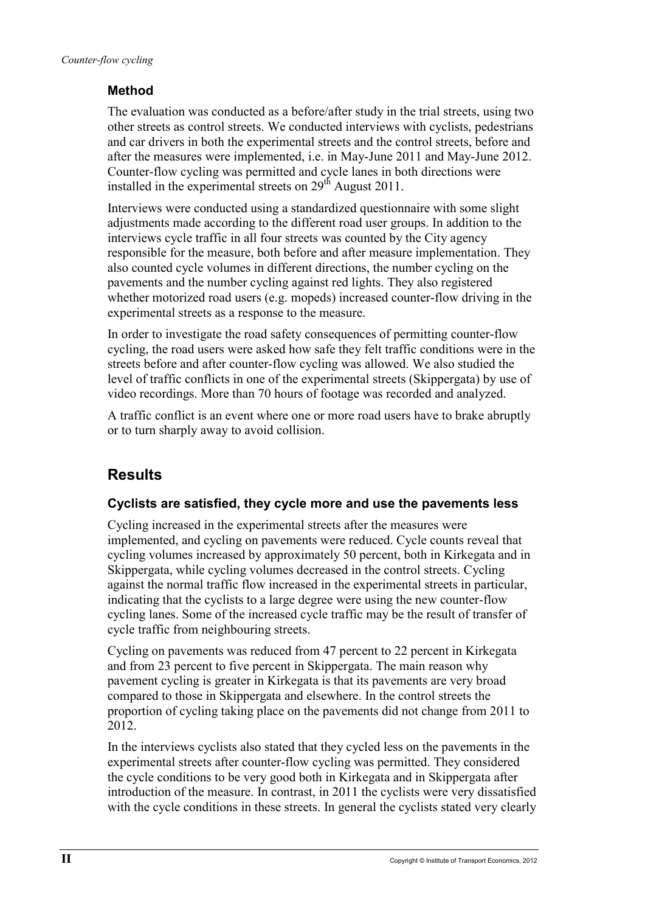## **Method**

The evaluation was conducted as a before/after study in the trial streets, using two other streets as control streets. We conducted interviews with cyclists, pedestrians and car drivers in both the experimental streets and the control streets, before and after the measures were implemented, i.e. in May-June 2011 and May-June 2012. Counter-flow cycling was permitted and cycle lanes in both directions were installed in the experimental streets on  $29<sup>th</sup>$  August 2011.

Interviews were conducted using a standardized questionnaire with some slight adjustments made according to the different road user groups. In addition to the interviews cycle traffic in all four streets was counted by the City agency responsible for the measure, both before and after measure implementation. They also counted cycle volumes in different directions, the number cycling on the pavements and the number cycling against red lights. They also registered whether motorized road users (e.g. mopeds) increased counter-flow driving in the experimental streets as a response to the measure.

In order to investigate the road safety consequences of permitting counter-flow cycling, the road users were asked how safe they felt traffic conditions were in the streets before and after counter-flow cycling was allowed. We also studied the level of traffic conflicts in one of the experimental streets (Skippergata) by use of video recordings. More than 70 hours of footage was recorded and analyzed.

A traffic conflict is an event where one or more road users have to brake abruptly or to turn sharply away to avoid collision.

## **Results**

### **Cyclists are satisfied, they cycle more and use the pavements less**

Cycling increased in the experimental streets after the measures were implemented, and cycling on pavements were reduced. Cycle counts reveal that cycling volumes increased by approximately 50 percent, both in Kirkegata and in Skippergata, while cycling volumes decreased in the control streets. Cycling against the normal traffic flow increased in the experimental streets in particular, indicating that the cyclists to a large degree were using the new counter-flow cycling lanes. Some of the increased cycle traffic may be the result of transfer of cycle traffic from neighbouring streets.

Cycling on pavements was reduced from 47 percent to 22 percent in Kirkegata and from 23 percent to five percent in Skippergata. The main reason why pavement cycling is greater in Kirkegata is that its pavements are very broad compared to those in Skippergata and elsewhere. In the control streets the proportion of cycling taking place on the pavements did not change from 2011 to 2012.

In the interviews cyclists also stated that they cycled less on the pavements in the experimental streets after counter-flow cycling was permitted. They considered the cycle conditions to be very good both in Kirkegata and in Skippergata after introduction of the measure. In contrast, in 2011 the cyclists were very dissatisfied with the cycle conditions in these streets. In general the cyclists stated very clearly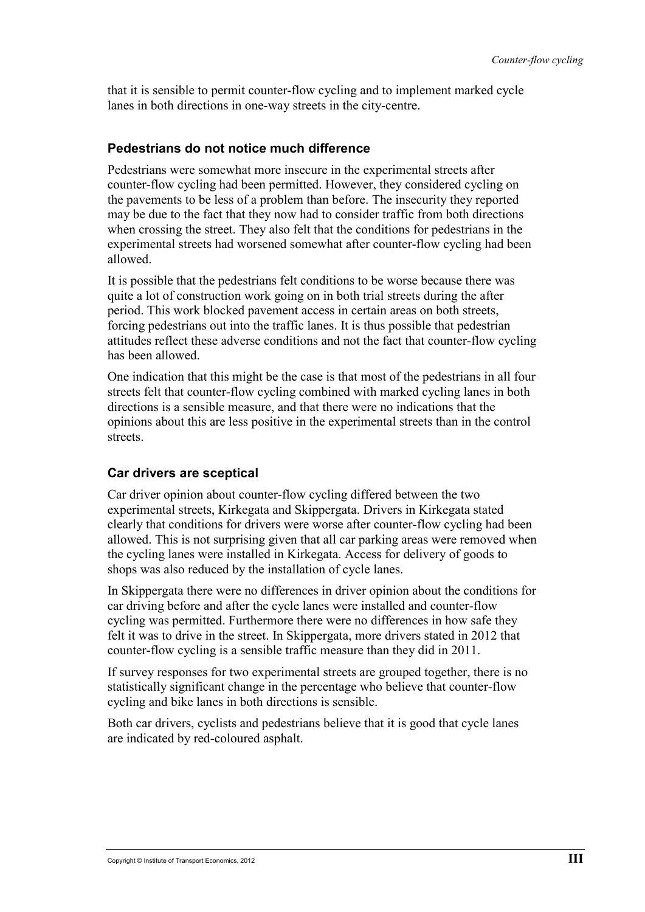that it is sensible to permit counter-flow cycling and to implement marked cycle lanes in both directions in one-way streets in the city-centre.

#### **Pedestrians do not notice much difference**

Pedestrians were somewhat more insecure in the experimental streets after counter-flow cycling had been permitted. However, they considered cycling on the pavements to be less of a problem than before. The insecurity they reported may be due to the fact that they now had to consider traffic from both directions when crossing the street. They also felt that the conditions for pedestrians in the experimental streets had worsened somewhat after counter-flow cycling had been allowed.

It is possible that the pedestrians felt conditions to be worse because there was quite a lot of construction work going on in both trial streets during the after period. This work blocked pavement access in certain areas on both streets, forcing pedestrians out into the traffic lanes. It is thus possible that pedestrian attitudes reflect these adverse conditions and not the fact that counter-flow cycling has been allowed.

One indication that this might be the case is that most of the pedestrians in all four streets felt that counter-flow cycling combined with marked cycling lanes in both directions is a sensible measure, and that there were no indications that the opinions about this are less positive in the experimental streets than in the control streets.

#### **Car drivers are sceptical**

Car driver opinion about counter-flow cycling differed between the two experimental streets, Kirkegata and Skippergata. Drivers in Kirkegata stated clearly that conditions for drivers were worse after counter-flow cycling had been allowed. This is not surprising given that all car parking areas were removed when the cycling lanes were installed in Kirkegata. Access for delivery of goods to shops was also reduced by the installation of cycle lanes.

In Skippergata there were no differences in driver opinion about the conditions for car driving before and after the cycle lanes were installed and counter-flow cycling was permitted. Furthermore there were no differences in how safe they felt it was to drive in the street. In Skippergata, more drivers stated in 2012 that counter-flow cycling is a sensible traffic measure than they did in 2011.

If survey responses for two experimental streets are grouped together, there is no statistically significant change in the percentage who believe that counter-flow cycling and bike lanes in both directions is sensible.

Both car drivers, cyclists and pedestrians believe that it is good that cycle lanes are indicated by red-coloured asphalt.